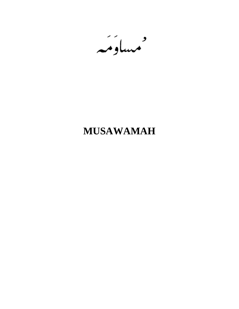مساوئيه

# **MUSAWAMAH**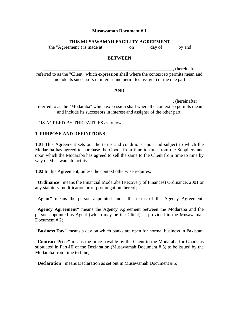## **THIS MUSAWAMAH FACILITY AGREEMENT**

(the "Agreement") is made at\_\_\_\_\_\_\_\_\_\_\_ on \_\_\_\_\_\_ day of \_\_\_\_\_\_ by and

#### **BETWEEN**

\_\_\_\_\_\_\_\_\_\_\_\_\_\_\_\_\_\_\_\_\_\_\_\_\_\_\_\_\_\_\_\_\_\_\_\_\_\_\_\_\_\_\_\_\_\_\_\_\_\_\_\_\_\_\_\_, (hereinafter referred to as the "Client" which expression shall where the context so permits mean and include its successors in interest and permitted assigns) of the one part

#### **AND**

\_\_\_\_\_\_\_\_\_\_\_\_\_\_\_\_\_\_\_\_\_\_\_\_\_\_\_\_\_\_\_\_\_\_\_\_\_\_\_\_\_\_\_\_\_\_\_\_\_\_\_\_\_\_\_\_, (hereinafter referred to as the "Modaraba" which expression shall where the context so permits mean and include its successors in interest and assigns) of the other part.

#### IT IS AGREED BY THE PARTIES as follows:

#### **1. PURPOSE AND DEFINITIONS**

**1.01** This Agreement sets out the terms and conditions upon and subject to which the Modaraba has agreed to purchase the Goods from time to time from the Suppliers and upon which the Modaraba has agreed to sell the same to the Client from time to time by way of Musawamah facility.

**1.02** In this Agreement, unless the context otherwise requires:

**"Ordinance"** means the Financial Modaraba (Recovery of Finances) Ordinance, 2001 or any statutory modification or re-promulgation thereof;

**"Agent"** means the person appointed under the terms of the Agency Agreement;

**"Agency Agreement"** means the Agency Agreement between the Modaraba and the person appointed as Agent (which may be the Client) as provided in the Musawamah Document #2:

**"Business Day"** means a day on which banks are open for normal business in Pakistan;

**"Contract Price"** means the price payable by the Client to the Modaraba for Goods as stipulated in Part-III of the Declaration (Musawamah Document # 5) to be issued by the Modaraba from time to time:

**"Declaration"** means Declaration as set out in Musawamah Document # 5;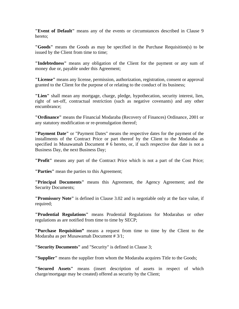**"Event of Default"** means any of the events or circumstances described in Clause 9 hereto;

**"Goods"** means the Goods as may be specified in the Purchase Requisition(s) to be issued by the Client from time to time;

**"Indebtedness"** means any obligation of the Client for the payment or any sum of money due or, payable under this Agreement;

**"License"** means any license, permission, authorization, registration, consent or approval granted to the Client for the purpose of or relating to the conduct of its business;

**"Lien"** shall mean any mortgage, charge, pledge, hypothecation, security interest, lien, right of set-off, contractual restriction (such as negative covenants) and any other encumbrance;

**"Ordinance"** means the Financial Modaraba (Recovery of Finances) Ordinance, 2001 or any statutory modification or re-promulgation thereof;

**"Payment Date"** or "Payment Dates" means the respective dates for the payment of the installments of the Contract Price or part thereof by the Client to the Modaraba as specified in Musawamah Document # 6 hereto, or, if such respective due date is not a Business Day, the next Business Day;

**"Profit"** means any part of the Contract Price which is not a part of the Cost Price;

**"Parties"** mean the parties to this Agreement;

**"Principal Documents"** means this Agreement, the Agency Agreement; and the Security Documents;

**"Promissory Note"** is defined in Clause 3.02 and is negotiable only at the face value, if required;

**"Prudential Regulations"** means Prudential Regulations for Modarabas or other regulations as are notified from time to time by SECP;

**"Purchase Requisition"** means a request from time to time by the Client to the Modaraba as per Musawamah Document # 3/1;

**"Security Documents"** and "Security" is defined in Clause 3;

**"Supplier"** means the supplier from whom the Modaraba acquires Title to the Goods;

**"Secured Assets"** means (insert description of assets in respect of which charge/mortgage may be created) offered as security by the Client;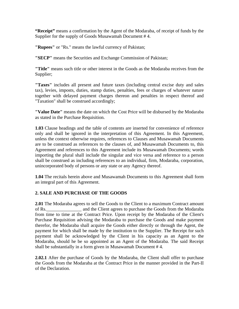**"Receipt"** means a confirmation by the Agent of the Modaraba, of receipt of funds by the Supplier for the supply of Goods Musawamah Document # 4.

**"Rupees"** or "Rs." means the lawful currency of Pakistan;

**"SECP"** means the Securities and Exchange Commission of Pakistan;

**"Title"** means such title or other interest in the Goods as the Modaraba receives from the Supplier;

**"Taxes"** includes all present and future taxes (including central excise duty and sales tax), levies, imposts, duties, stamp duties, penalties, fees or charges of whatever nature together with delayed payment charges thereon and penalties in respect thereof and "Taxation" shall be construed accordingly;

**"Value Date"** means the date on which the Cost Price will be disbursed by the Modaraba as stated in the Purchase Requisition.

**1.03** Clause headings and the table of contents are inserted for convenience of reference only and shall be ignored in the interpretation of this Agreement. In this Agreement, unless the context otherwise requires, references to Clauses and Musawamah Documents are to be construed as references to the clauses of, and Musawamah Documents to, this Agreement and references to this Agreement include its Musawamah Documents; words importing the plural shall include the singular and vice versa and reference to a person shall be construed as including references to an individual, firm, Modaraba, corporation, unincorporated body of persons or any state or any Agency thereof.

**1.04** The recitals herein above and Musawamah Documents to this Agreement shall form an integral part of this Agreement.

## **2. SALE AND PURCHASE OF THE GOODS**

**2.01** The Modaraba agrees to sell the Goods to the Client to a maximum Contract amount of Rs.\_\_\_\_\_\_\_\_\_\_\_\_\_\_\_ and the Client agrees to purchase the Goods from the Modaraba from time to time at the Contract Price. Upon receipt by the Modaraba of the Client's Purchase Requisition advising the Modaraba to purchase the Goods and make payment therefor, the Modaraba shall acquire the Goods either directly or through the Agent, the payment for which shall be made by the institution to the Supplier. The Receipt for such payment shall be acknowledged by the Client in his capacity as an Agent to the Modaraba, should he be so appointed as an Agent of the Modaraba. The said Receipt shall be substantially in a form given in Musawamah Document # 4.

**2.02.1** After the purchase of Goods by the Modaraba, the Client shall offer to purchase the Goods from the Modaraba at the Contract Price in the manner provided in the Part-II of the Declaration.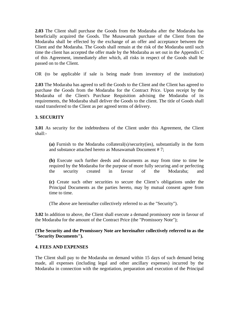**2.03** The Client shall purchase the Goods from the Modaraba after the Modaraba has beneficially acquired the Goods. The Musawamah purchase of the Client from the Modaraba shall be effected by the exchange of an offer and acceptance between the Client and the Modaraba. The Goods shall remain at the risk of the Modaraba until such time the client has accepted the offer made by the Modaraba as set out in the Appendix C of this Agreement, immediately after which, all risks in respect of the Goods shall be passed on to the Client.

OR (to be applicable if sale is being made from inventory of the institution)

**2.03** The Modaraba has agreed to sell the Goods to the Client and the Client has agreed to purchase the Goods from the Modaraba for the Contract Price. Upon receipt by the Modaraba of the Client's Purchase Requisition advising the Modaraba of its requirements, the Modaraba shall deliver the Goods to the client. The title of Goods shall stand transferred to the Client as per agreed terms of delivery.

#### **3. SECURITY**

**3.01** As security for the indebtedness of the Client under this Agreement, the Client shall:-

**(a)** Furnish to the Modaraba collateral(s)/security(ies), substantially in the form and substance attached hereto as Musawamah Document # 7;

**(b)** Execute such further deeds and documents as may from time to time be required by the Modaraba for the purpose of more fully securing and or perfecting the security created in favour of the Modaraba; and

**(c)** Create such other securities to secure the Client's obligations under the Principal Documents as the parties hereto, may by mutual consent agree from time to time.

(The above are hereinafter collectively referred to as the "Security").

**3.02** In addition to above, the Client shall execute a demand promissory note in favour of the Modaraba for the amount of the Contract Price (the "Promissory Note");

**(The Security and the Promissory Note are hereinafter collectively referred to as the "Security Documents").**

#### **4. FEES AND EXPENSES**

The Client shall pay to the Modaraba on demand within 15 days of such demand being made, all expenses (including legal and other ancillary expenses) incurred by the Modaraba in connection with the negotiation, preparation and execution of the Principal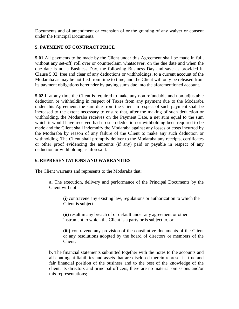Documents and of amendment or extension of or the granting of any waiver or consent under the Principal Documents.

### **5. PAYMENT OF CONTRACT PRICE**

**5.01** All payments to be made by the Client under this Agreement shall be made in full, without any set-off, roll over or counterclaim whatsoever, on the due date and when the due date is not a Business Day, the following Business Day and save as provided in Clause 5.02, free and clear of any deductions or withholdings, to a current account of the Modaraba as may be notified from time to time, and the Client will only be released from its payment obligations hereunder by paying sums due into the aforementioned account.

**5.02** If at any time the Client is required to make any non refundable and non-adjustable deduction or withholding in respect of Taxes from any payment due to the Modaraba under this Agreement, the sum due from the Client in respect of such payment shall be increased to the extent necessary to ensure that, after the making of such deduction or withholding, the Modaraba receives on the Payment Date, a net sum equal to the sum which it would have received had no such deduction or withholding been required to be made and the Client shall indemnify the Modaraba against any losses or costs incurred by the Modaraba by reason of any failure of the Client to make any such deduction or withholding. The Client shall promptly deliver to the Modaraba any receipts, certificates or other proof evidencing the amounts (if any) paid or payable in respect of any deduction or withholding as aforesaid.

#### **6. REPRESENTATIONS AND WARRANTIES**

The Client warrants and represents to the Modaraba that:

**a.** The execution, delivery and performance of the Principal Documents by the Client will not

**(i)** contravene any existing law, regulations or authorization to which the Client is subject

**(ii)** result in any breach of or default under any agreement or other instrument to which the Client is a party or is subject to, or

**(iii)** contravene any provision of the constitutive documents of the Client or any resolutions adopted by the board of directors or members of the Client;

**b.** The financial statements submitted together with the notes to the accounts and all contingent liabilities and assets that are disclosed therein represent a true and fair financial position of the business and to the best of the knowledge of the client, its directors and principal officers, there are no material omissions and/or mis-representations;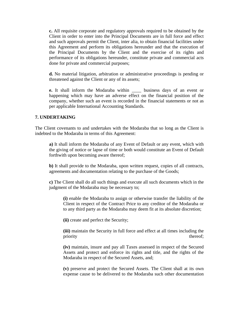**c.** All requisite corporate and regulatory approvals required to be obtained by the Client in order to enter into the Principal Documents are in full force and effect and such approvals permit the Client, inter alia, to obtain financial facilities under this Agreement and perform its obligations hereunder and that the execution of the Principal Documents by the Client and the exercise of its rights and performance of its obligations hereunder, constitute private and commercial acts done for private and commercial purposes;

**d.** No material litigation, arbitration or administrative proceedings is pending or threatened against the Client or any of its assets;

**e.** It shall inform the Modaraba within \_\_\_\_ business days of an event or happening which may have an adverse effect on the financial position of the company, whether such an event is recorded in the financial statements or not as per applicable International Accounting Standards.

#### **7. UNDERTAKING**

The Client covenants to and undertakes with the Modaraba that so long as the Client is indebted to the Modaraba in terms of this Agreement:

**a)** It shall inform the Modaraba of any Event of Default or any event, which with the giving of notice or lapse of time or both would constitute an Event of Default forthwith upon becoming aware thereof;

**b)** It shall provide to the Modaraba, upon written request, copies of all contracts, agreements and documentation relating to the purchase of the Goods;

**c)** The Client shall do all such things and execute all such documents which in the judgment of the Modaraba may be necessary to;

**(i)** enable the Modaraba to assign or otherwise transfer the liability of the Client in respect of the Contract Price to any creditor of the Modaraba or to any third party as the Modaraba may deem fit at its absolute discretion;

**(ii)** create and perfect the Security;

**(iii)** maintain the Security in full force and effect at all times including the priority thereof;

**(iv)** maintain, insure and pay all Taxes assessed in respect of the Secured Assets and protect and enforce its rights and title, and the rights of the Modaraba in respect of the Secured Assets, and;

**(v)** preserve and protect the Secured Assets. The Client shall at its own expense cause to be delivered to the Modaraba such other documentation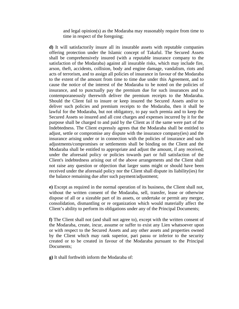and legal opinion(s) as the Modaraba may reasonably require from time to time in respect of the foregoing;

**d)** It will satisfactorily insure all its insurable assets with reputable companies offering protection under the Islamic concept of Takaful. The Secured Assets shall be comprehensively insured (with a reputable insurance company to the satisfaction of the Modaraba) against all insurable risks, which may include fire, arson, theft, accidents, collision, body and engine damage, vandalism, riots and acts of terrorism, and to assign all policies of insurance in favour of the Modaraba to the extent of the amount from time to time due under this Agreement, and to cause the notice of the interest of the Modaraba to be noted on the policies of insurance, and to punctually pay the premium due for such insurances and to contemporaneously therewith deliver the premium receipts to the Modaraba. Should the Client fail to insure or keep insured the Secured Assets and/or to deliver such policies and premium receipts to the Modaraba, then it shall be lawful for the Modaraba, but not obligatory, to pay such premia and to keep the Secured Assets so insured and all cost charges and expenses incurred by it for the purpose shall be charged to and paid by the Client as if the same were part of the Indebtedness. The Client expressly agrees that the Modaraba shall be entitled to adjust, settle or compromise any dispute with the insurance company(ies) and the insurance arising under or in connection with the policies of insurance and such adjustments/compromises or settlements shall be binding on the Client and the Modaraba shall be entitled to appropriate and adjust the amount, if any received, under the aforesaid policy or policies towards part or full satisfaction of the Client's indebtedness arising out of the above arrangements and the Client shall not raise any question or objection that larger sums might or should have been received under the aforesaid policy nor the Client shall dispute its liability(ies) for the balance remaining due after such payment/adjustment;

**e)** Except as required in the normal operation of its business, the Client shall not, without the written consent of the Modaraba, sell, transfer, lease or otherwise dispose of all or a sizeable part of its assets, or undertake or permit any merger, consolidation, dismantling or re organization which would materially affect the Client's ability to perform its obligations under any of the Principal Documents;

**f)** The Client shall not (and shall not agree to), except with the written consent of the Modaraba, create, incur, assume or suffer to exist any Lien whatsoever upon or with respect to the Secured Assets and any other assets and properties owned by the Client which may rank superior, pari passu or inferior to the security created or to be created in favour of the Modaraba pursuant to the Principal Documents;

**g)** It shall forthwith inform the Modaraba of: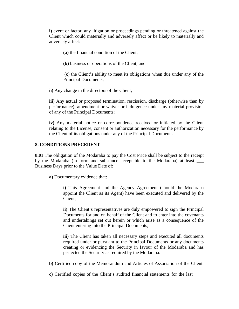**i)** event or factor, any litigation or proceedings pending or threatened against the Client which could materially and adversely affect or be likely to materially and adversely affect:

**(a)** the financial condition of the Client;

**(b)** business or operations of the Client; and

**(c)** the Client's ability to meet its obligations when due under any of the Principal Documents;

**ii)** Any change in the directors of the Client;

**iii)** Any actual or proposed termination, rescission, discharge (otherwise than by performance), amendment or waiver or indulgence under any material provision of any of the Principal Documents;

**iv)** Any material notice or correspondence received or initiated by the Client relating to the License, consent or authorization necessary for the performance by the Client of its obligations under any of the Principal Documents

#### **8. CONDITIONS PRECEDENT**

**8.01** The obligation of the Modaraba to pay the Cost Price shall be subject to the receipt by the Modaraba (in form and substance acceptable to the Modaraba) at least \_\_\_ Business Days prior to the Value Date of:

**a)** Documentary evidence that:

**i)** This Agreement and the Agency Agreement (should the Modaraba appoint the Client as its Agent) have been executed and delivered by the Client;

**ii)** The Client's representatives are duly empowered to sign the Principal Documents for and on behalf of the Client and to enter into the covenants and undertakings set out herein or which arise as a consequence of the Client entering into the Principal Documents;

**iii**) The Client has taken all necessary steps and executed all documents required under or pursuant to the Principal Documents or any documents creating or evidencing the Security in favour of the Modaraba and has perfected the Security as required by the Modaraba.

**b)** Certified copy of the Memorandum and Articles of Association of the Client.

**c**) Certified copies of the Client's audited financial statements for the last \_\_\_\_\_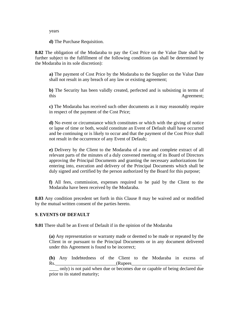years

**d)** The Purchase Requisition.

**8.02** The obligation of the Modaraba to pay the Cost Price on the Value Date shall be further subject to the fulfillment of the following conditions (as shall be determined by the Modaraba in its sole discretion):

**a)** The payment of Cost Price by the Modaraba to the Supplier on the Value Date shall not result in any breach of any law or existing agreement;

**b)** The Security has been validly created, perfected and is subsisting in terms of this Agreement;

**c)** The Modaraba has received such other documents as it may reasonably require in respect of the payment of the Cost Price;

**d)** No event or circumstance which constitutes or which with the giving of notice or lapse of time or both, would constitute an Event of Default shall have occurred and be continuing or is likely to occur and that the payment of the Cost Price shall not result in the occurrence of any Event of Default;

**e)** Delivery by the Client to the Modaraba of a true and complete extract of all relevant parts of the minutes of a duly convened meeting of its Board of Directors approving the Principal Documents and granting the necessary authorizations for entering into, execution and delivery of the Principal Documents which shall be duly signed and certified by the person authorized by the Board for this purpose;

**f)** All fees, commission, expenses required to be paid by the Client to the Modaraba have been received by the Modaraba.

**8.03** Any condition precedent set forth in this Clause 8 may be waived and or modified by the mutual written consent of the parties hereto.

## **9. EVENTS OF DEFAULT**

**9.01** There shall be an Event of Default if in the opinion of the Modaraba

**(a)** Any representation or warranty made or deemed to be made or repeated by the Client in or pursuant to the Principal Documents or in any document delivered under this Agreement is found to be incorrect;

**(b)** Any Indebtedness of the Client to the Modaraba in excess of Rs. (Rupees

\_\_\_\_ only) is not paid when due or becomes due or capable of being declared due prior to its stated maturity;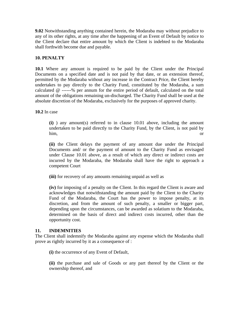**9.02** Notwithstanding anything contained herein, the Modaraba may without prejudice to any of its other rights, at any time after the happening of an Event of Default by notice to the Client declare that entire amount by which the Client is indebted to the Modaraba shall forthwith become due and payable.

## **10. PENALTY**

**10.1** Where any amount is required to be paid by the Client under the Principal Documents on a specified date and is not paid by that date, or an extension thereof, permitted by the Modaraba without any increase in the Contract Price, the Client hereby undertakes to pay directly to the Charity Fund, constituted by the Modaraba, a sum calculated @ ------% per annum for the entire period of default, calculated on the total amount of the obligations remaining un-discharged. The Charity Fund shall be used at the absolute discretion of the Modaraba, exclusively for the purposes of approved charity.

**10.2** In case

**(i)** ) any amount(s) referred to in clause 10.01 above, including the amount undertaken to be paid directly to the Charity Fund, by the Client, is not paid by him, or

**(ii)** the Client delays the payment of any amount due under the Principal Documents and/ or the payment of amount to the Charity Fund as envisaged under Clause 10.01 above, as a result of which any direct or indirect costs are incurred by the Modaraba, the Modaraba shall have the right to approach a competent Court

**(iii)** for recovery of any amounts remaining unpaid as well as

**(iv)** for imposing of a penalty on the Client. In this regard the Client is aware and acknowledges that notwithstanding the amount paid by the Client to the Charity Fund of the Modaraba, the Court has the power to impose penalty, at its discretion, and from the amount of such penalty, a smaller or bigger part, depending upon the circumstances, can be awarded as solatium to the Modaraba, determined on the basis of direct and indirect costs incurred, other than the opportunity cost.

## **11. INDEMNITIES**

The Client shall indemnify the Modaraba against any expense which the Modaraba shall prove as rightly incurred by it as a consequence of :

**(i)** the occurrence of any Event of Default,

**(ii)** the purchase and sale of Goods or any part thereof by the Client or the ownership thereof, and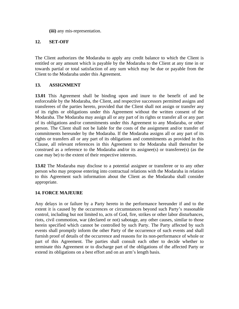**(iii)** any mis-representation.

## **12. SET-OFF**

The Client authorizes the Modaraba to apply any credit balance to which the Client is entitled or any amount which is payable by the Modaraba to the Client at any time in or towards partial or total satisfaction of any sum which may be due or payable from the Client to the Modaraba under this Agreement.

## **13. ASSIGNMENT**

**13.01** This Agreement shall be binding upon and inure to the benefit of and be enforceable by the Modaraba, the Client, and respective successors permitted assigns and transferees of the parties hereto, provided that the Client shall not assign or transfer any of its rights or obligations under this Agreement without the written consent of the Modaraba. The Modaraba may assign all or any part of its rights or transfer all or any part of its obligations and/or commitments under this Agreement to any Modaraba, or other person. The Client shall not be liable for the costs of the assignment and/or transfer of commitments hereunder by the Modaraba. If the Modaraba assigns all or any part of its rights or transfers all or any part of its obligations and commitments as provided in this Clause, all relevant references in this Agreement to the Modaraba shall thereafter be construed as a reference to the Modaraba and/or its assignee(s) or transferee(s) (as the case may be) to the extent of their respective interests.

**13.02** The Modaraba may disclose to a potential assignee or transferee or to any other person who may propose entering into contractual relations with the Modaraba in relation to this Agreement such information about the Client as the Modaraba shall consider appropriate.

## **14. FORCE MAJEURE**

Any delays in or failure by a Party hereto in the performance hereunder if and to the extent it is caused by the occurrences or circumstances beyond such Party's reasonable control, including but not limited to, acts of God, fire, strikes or other labor disturbances, riots, civil commotion, war (declared or not) sabotage, any other causes, similar to those herein specified which cannot be controlled by such Party. The Party affected by such events shall promptly inform the other Party of the occurrence of such events and shall furnish proof of details of the occurrence and reasons for its non-performance of whole or part of this Agreement. The parties shall consult each other to decide whether to terminate this Agreement or to discharge part of the obligations of the affected Party or extend its obligations on a best effort and on an arm's length basis.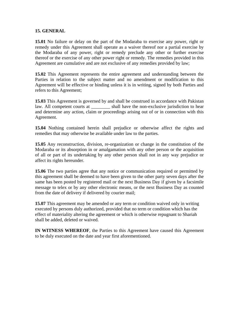#### **15. GENERAL**

**15.01** No failure or delay on the part of the Modaraba to exercise any power, right or remedy under this Agreement shall operate as a waiver thereof nor a partial exercise by the Modaraba of any power, right or remedy preclude any other or further exercise thereof or the exercise of any other power right or remedy. The remedies provided in this Agreement are cumulative and are not exclusive of any remedies provided by law;

**15.02** This Agreement represents the entire agreement and understanding between the Parties in relation to the subject matter and no amendment or modification to this Agreement will be effective or binding unless it is in writing, signed by both Parties and refers to this Agreement;

**15.03** This Agreement is governed by and shall be construed in accordance with Pakistan law. All competent courts at \_\_\_\_\_\_\_\_\_ shall have the non-exclusive jurisdiction to hear and determine any action, claim or proceedings arising out of or in connection with this Agreement.

**15.04** Nothing contained herein shall prejudice or otherwise affect the rights and remedies that may otherwise be available under law to the parties.

**15.05** Any reconstruction, division, re-organization or change in the constitution of the Modaraba or its absorption in or amalgamation with any other person or the acquisition of all or part of its undertaking by any other person shall not in any way prejudice or affect its rights hereunder.

**15.06** The two parties agree that any notice or communication required or permitted by this agreement shall be deemed to have been given to the other party seven days after the same has been posted by registered mail or the next Business Day if given by a facsimile message to telex or by any other electronic means, or the next Business Day as counted from the date of delivery if delivered by courier mail;

**15.07** This agreement may be amended or any term or condition waived only in writing executed by persons duly authorized, provided that no term or condition which has the effect of materiality altering the agreement or which is otherwise repugnant to Shariah shall be added, deleted or waived.

**IN WITNESS WHEREOF**, the Parties to this Agreement have caused this Agreement to be duly executed on the date and year first aforementioned.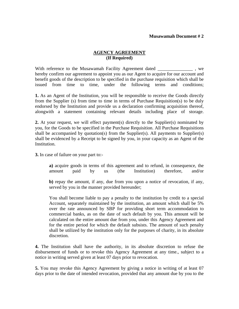## **AGENCY AGREEMENT (If Required)**

With reference to the Musawamah Facility Agreement dated \_\_\_\_\_\_\_\_\_\_\_\_\_\_\_\_\_\_, we hereby confirm our agreement to appoint you as our Agent to acquire for our account and benefit goods of the description to be specified in the purchase requisition which shall be issued from time to time, under the following terms and conditions;

**1.** As an Agent of the Institution, you will be responsible to receive the Goods directly from the Supplier (s) from time to time in terms of Purchase Requisition(s) to be duly endorsed by the Institution and provide us a declaration confirming acquisition thereof, alongwith a statement containing relevant details including place of storage.

**2.** At your request, we will effect payment(s) directly to the Supplier(s) nominated by you, for the Goods to be specified in the Purchase Requisition. All Purchase Requisitions shall be accompanied by quotation(s) from the Supplier(s). All payments to Supplier(s) shall be evidenced by a Receipt to be signed by you, in your capacity as an Agent of the Institution.

**3.** In case of failure on your part to:-

**a)** acquire goods in terms of this agreement and to refund, in consequence, the amount paid by us (the Institution) therefore, and/or

**b)** repay the amount, if any, due from you upon a notice of revocation, if any, served by you in the manner provided hereunder;

You shall become liable to pay a penalty to the institution by credit to a special Account, separately maintained by the institution, an amount which shall be 5% over the rate announced by SBP for providing short term accommodation to commercial banks, as on the date of such default by you. This amount will be calculated on the entire amount due from you, under this Agency Agreement and for the entire period for which the default subsists. The amount of such penalty shall be utilized by the institution only for the purposes of charity, in its absolute discretion.

**4.** The Institution shall have the authority, in its absolute discretion to refuse the disbursement of funds or to revoke this Agency Agreement at any time., subject to a notice in writing served given at least 07 days prior to revocation.

**5.** You may revoke this Agency Agreement by giving a notice in writing of at least 07 days prior to the date of intended revocation, provided that any amount due by you to the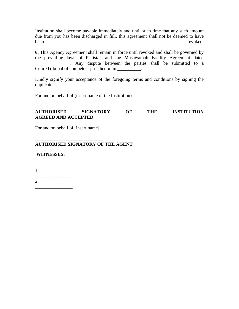Institution shall become payable immediately and until such time that any such amount due from you has been discharged in full, this agreement shall not be deemed to have been revoked.

**6.** This Agency Agreement shall remain in force until revoked and shall be governed by the prevailing laws of Pakistan and the Musawamah Facility Agreement dated Any dispute between the parties shall be submitted to a Court/Tribunal of competent jurisdiction in \_\_\_\_\_\_\_\_\_\_.

Kindly signify your acceptance of the foregoing terms and conditions by signing the duplicate.

For and on behalf of (insert name of the Institution)

#### \_\_\_\_\_\_\_\_\_\_\_\_\_\_\_\_\_\_\_\_\_\_\_\_\_\_\_ **AUTHORISED SIGNATORY OF THE INSTITUTION AGREED AND ACCEPTED**

For and on behalf of [insert name]

\_\_\_\_\_\_\_\_\_\_\_\_\_\_\_\_\_\_\_\_\_\_\_\_\_\_\_\_\_

## **AUTHORISED SIGNATORY OF THE AGENT**

**WITNESSES:**

1.

\_\_\_\_\_\_\_\_\_\_\_\_\_\_\_\_ 2. \_\_\_\_\_\_\_\_\_\_\_\_\_\_\_\_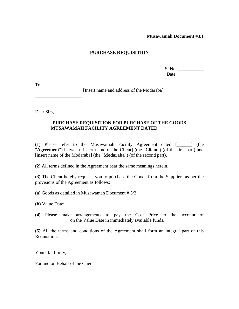## **PURCHASE REQUISITION**

| S. No. |  |
|--------|--|
| Date:  |  |

To:

\_\_\_\_\_\_\_\_\_\_\_\_\_\_\_\_\_\_\_\_ [Insert name and address of the Modaraba]

Dear Sirs,

 $\overline{\phantom{a}}$  , where the contract of the contract of the contract of the contract of the contract of the contract of the contract of the contract of the contract of the contract of the contract of the contract of the contr \_\_\_\_\_\_\_\_\_\_\_\_\_\_\_\_\_\_\_\_

#### **PURCHASE REQUISITION FOR PURCHASE OF THE GOODS MUSAWAMAH FACILITY AGREEMENT DATED\_\_\_\_\_\_\_\_\_\_\_\_\_**

**(1)** Please refer to the Musawamah Facility Agreement dated [\_\_\_\_\_\_] (the "**Agreement**") between [insert name of the Client] (the "**Client**") (of the first part) and [insert name of the Modaraba] (the "**Modaraba**") (of the second part).

**(2)** All terms defined in the Agreement bear the same meanings herein.

**(3)** The Client hereby requests you to purchase the Goods from the Suppliers as per the provisions of the Agreement as follows:

**(a)** Goods as detailed in Musawamah Document # 3/2:

**(b)** Value Date: \_\_\_\_\_\_\_\_\_\_\_\_\_\_\_\_\_\_\_

**(4)** Please make arrangements to pay the Cost Price to the account of \_\_\_\_\_\_\_\_\_\_\_\_\_\_\_on the Value Date in immediately available funds.

**(5)** All the terms and conditions of the Agreement shall form an integral part of this Requisition.

Yours faithfully,

For and on Behalf of the Client

\_\_\_\_\_\_\_\_\_\_\_\_\_\_\_\_\_\_\_\_\_\_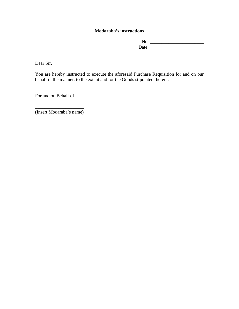## **Modaraba's instructions**

No. \_\_\_\_\_\_\_\_\_\_\_\_\_\_\_\_\_\_\_\_\_\_\_ Date: \_\_\_\_\_\_\_\_\_\_\_\_\_\_\_\_\_\_\_\_\_\_\_

Dear Sir,

You are hereby instructed to execute the aforesaid Purchase Requisition for and on our behalf in the manner, to the extent and for the Goods stipulated therein.

For and on Behalf of

\_\_\_\_\_\_\_\_\_\_\_\_\_\_\_\_\_\_\_\_\_ (Insert Modaraba's name)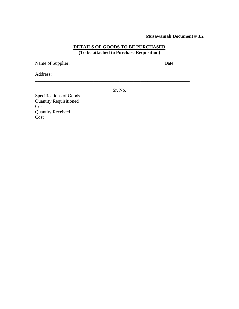#### **DETAILS OF GOODS TO BE PURCHASED (To be attached to Purchase Requisition)**

Name of Supplier: \_\_\_\_\_\_\_\_\_\_\_\_\_\_\_\_\_\_\_\_\_\_\_\_ Date:\_\_\_\_\_\_\_\_\_\_\_\_

Address:

Sr. No.

Specifications of Goods Quantity Requisitioned Cost Quantity Received Cost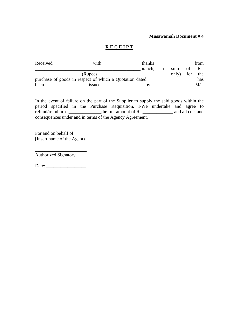## **R E C E I P T**

| Received                                                | with     | thanks  |   |       |     | from |  |
|---------------------------------------------------------|----------|---------|---|-------|-----|------|--|
|                                                         |          | branch. | a | sum   | of  | Rs.  |  |
|                                                         | (Rupees) |         |   | only) | for | the  |  |
| purchase of goods in respect of which a Quotation dated |          |         |   |       |     | has  |  |
| been                                                    | issued   | by      |   |       |     | M/s. |  |
|                                                         |          |         |   |       |     |      |  |

In the event of failure on the part of the Supplier to supply the said goods within the period specified in the Purchase Requisition, I/We undertake and agree to refund/reimburse \_\_\_\_\_\_\_\_\_\_\_\_\_\_the full amount of Rs.\_\_\_\_\_\_\_\_\_\_\_\_\_ and all cost and consequences under and in terms of the Agency Agreement.

For and on behalf of [Insert name of the Agent)

Authorized Signatory

Date: \_\_\_\_\_\_\_\_\_\_\_\_\_\_\_\_\_

\_\_\_\_\_\_\_\_\_\_\_\_\_\_\_\_\_\_\_\_\_\_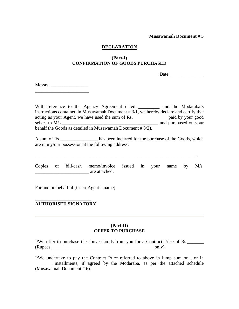#### **DECLARATION**

## **(Part-I) CONFIRMATION OF GOODS PURCHASED**

Date:

Messrs. \_\_\_\_\_\_\_\_\_\_\_\_\_\_\_\_\_\_\_\_\_\_\_

With reference to the Agency Agreement dated \_\_\_\_\_\_\_\_\_ and the Modaraba's instructions contained in Musawamah Document # 3/1, we hereby declare and certify that acting as your Agent, we have used the sum of Rs. \_\_\_\_\_\_\_\_\_\_\_\_\_\_ paid by your good selves to M/s  $\Box$ behalf the Goods as detailed in Musawamah Document # 3/2).

A sum of Rs.\_\_\_\_\_\_\_\_\_\_\_\_\_\_\_\_ has been incurred for the purchase of the Goods, which are in my/our possession at the following address:

Copies of bill/cash memo/invoice issued in your name by M/s. \_\_\_\_\_\_\_\_\_\_\_\_\_\_\_\_\_\_\_\_\_\_\_ are attached.

\_\_\_\_\_\_\_\_\_\_\_\_\_\_\_\_\_\_\_\_\_\_\_\_\_\_\_\_\_\_\_\_\_\_\_\_\_\_\_\_\_\_\_\_\_\_\_\_\_\_\_\_\_\_\_\_\_\_\_\_\_\_\_\_\_\_\_\_.

For and on behalf of [insert Agent's name]

#### \_\_\_\_\_\_\_\_\_\_\_\_\_\_\_\_\_\_\_\_\_\_\_\_ **AUTHORISED SIGNATORY**

#### **(Part-II) OFFER TO PURCHASE**

I/We offer to purchase the above Goods from you for a Contract Price of Rs. (Rupees \_\_\_\_\_\_\_\_\_\_\_\_\_\_\_\_\_\_\_\_\_\_\_\_\_\_\_\_\_\_\_\_\_\_\_\_\_\_\_\_\_\_\_\_only).

I/We undertake to pay the Contract Price referred to above in lump sum on , or in \_\_\_\_\_\_\_ installments, if agreed by the Modaraba, as per the attached schedule (Musawamah Document # 6).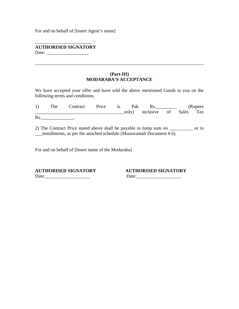For and on behalf of [Insert Agent's name]

\_\_\_\_\_\_\_\_\_\_\_\_\_\_\_\_\_\_\_\_\_\_\_\_ **AUTHORISED SIGNATORY** Date: \_\_\_\_\_\_\_\_\_\_\_\_\_\_\_\_\_\_

#### **(Part-III) MODARABA'S ACCEPTANCE**

We have accepted your offer and have sold the above mentioned Goods to you on the following terms and conditions.

|                 |  |  |                              |  | 1) The Contract Price is Pak Rs. R. (Rupees |  |
|-----------------|--|--|------------------------------|--|---------------------------------------------|--|
|                 |  |  | only) inclusive of Sales Tax |  |                                             |  |
| $\mathbf{R}$ s. |  |  |                              |  |                                             |  |

2) The Contract Price stated above shall be payable in lump sum on \_\_\_\_\_\_\_\_\_\_ or in \_\_\_installments, as per the attached schedule (Musawamah Document # 6).

For and on behalf of [Insert name of the Modaraba]

**AUTHORISED SIGNATORY AUTHORISED SIGNATORY** Date:\_\_\_\_\_\_\_\_\_\_\_\_\_\_\_\_\_\_\_ Date:\_\_\_\_\_\_\_\_\_\_\_\_\_\_\_\_\_\_\_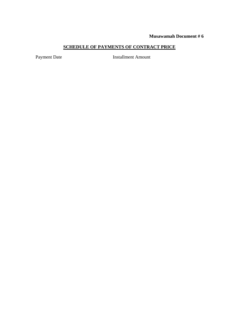## **SCHEDULE OF PAYMENTS OF CONTRACT PRICE**

Payment Date **Installment Amount**